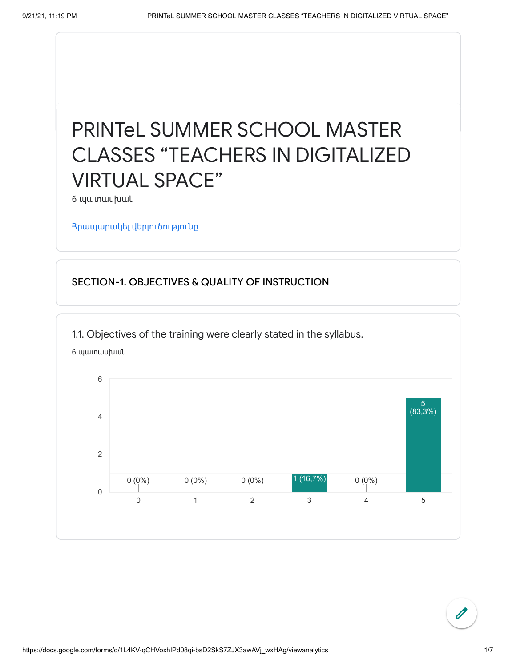## PRINTeL SUMMER SCHOOL MASTER CLASSES "TEACHERS IN DIGITALIZED VIRTUAL SPACE"

6 պատասխան

Հրապարակել [վերլուծությունը](https://docs.google.com/forms/d/1L4KV-qCHVoxhIPd08qi-bsD2SkS7ZJX3awAVj_wxHAg/edit?usp=redirect_edit_m2#start=publishanalytics)

## SECTION-1. OBJECTIVES & QUALITY OF INSTRUCTION

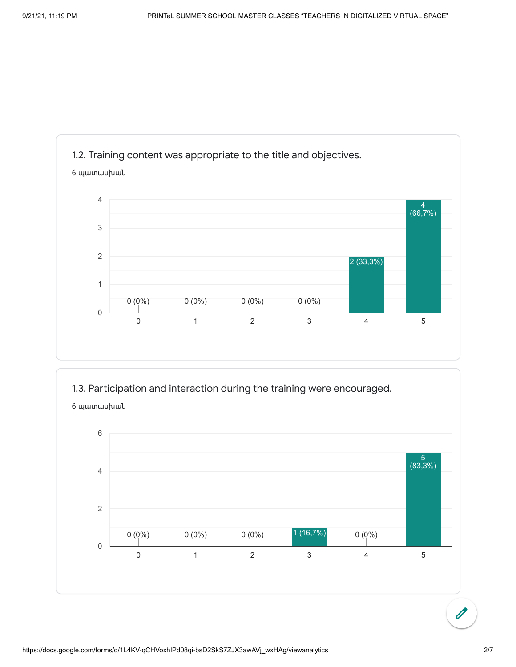

1.3. Participation and interaction during the training were encouraged.



6 պատասխան

 $\overline{\mathscr{O}}$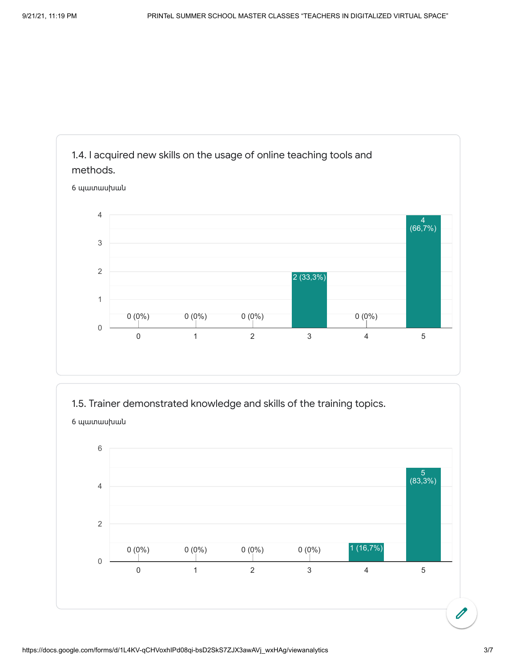

1.5. Trainer demonstrated knowledge and skills of the training topics.

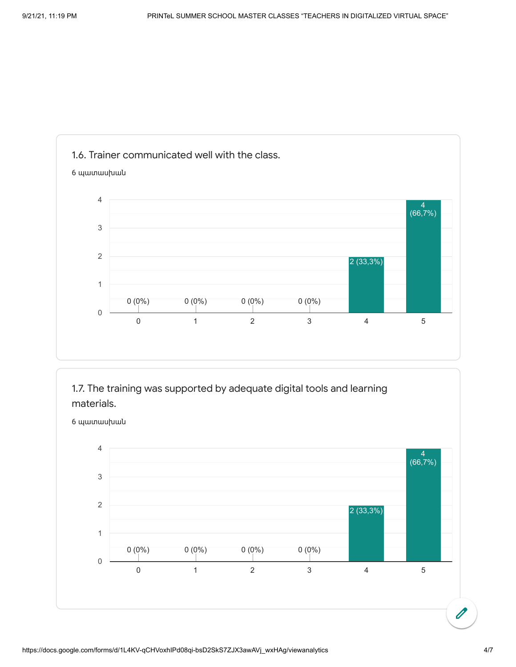





6 պատասխան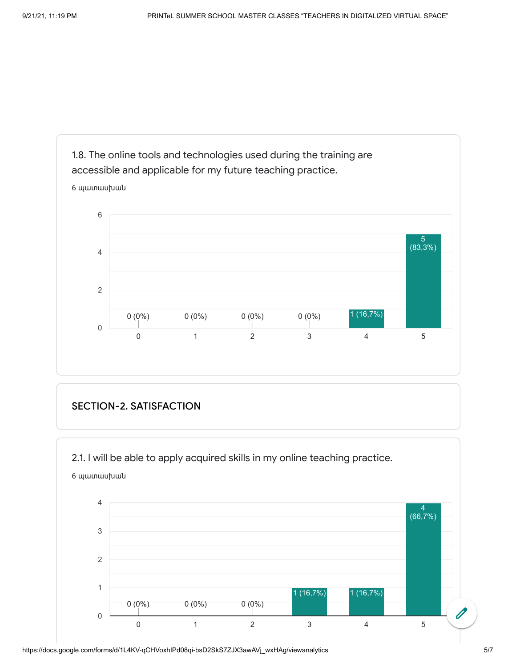

## SECTION-2. SATISFACTION

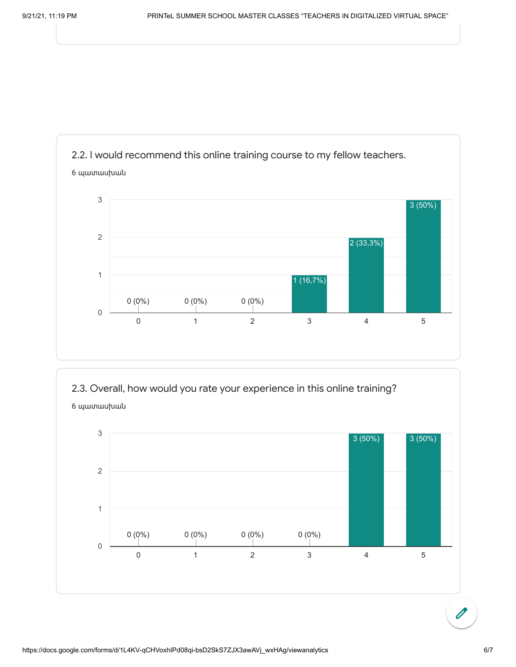

2.3. Overall, how would you rate your experience in this online training?



 $\overline{\mathscr{O}}$